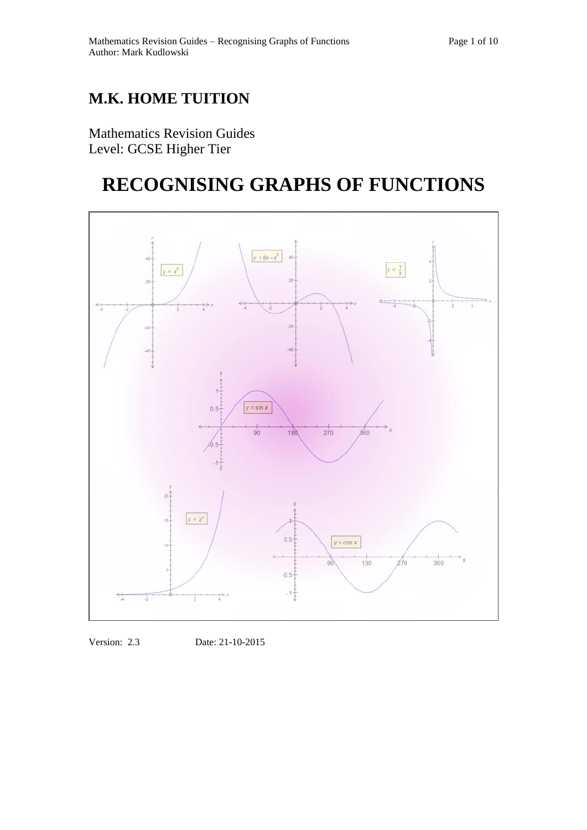## **M.K. HOME TUITION**

Mathematics Revision Guides Level: GCSE Higher Tier

# **RECOGNISING GRAPHS OF FUNCTIONS**



Version: 2.3 Date: 21-10-2015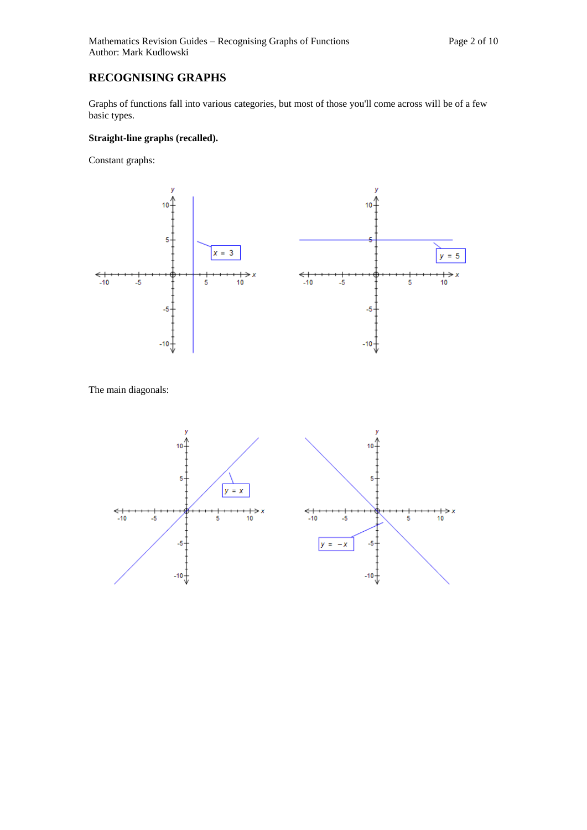## **RECOGNISING GRAPHS**

Graphs of functions fall into various categories, but most of those you'll come across will be of a few basic types.

### **Straight-line graphs (recalled).**

Constant graphs:



The main diagonals:

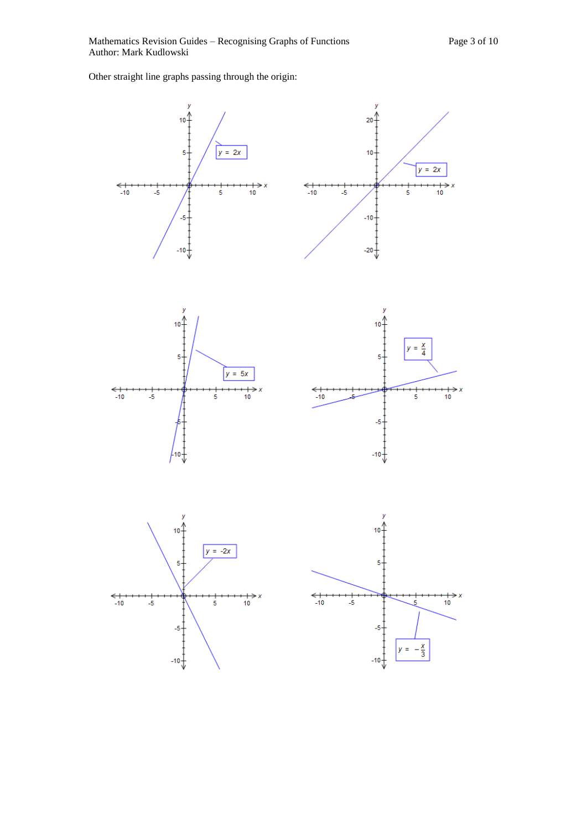Other straight line graphs passing through the origin:





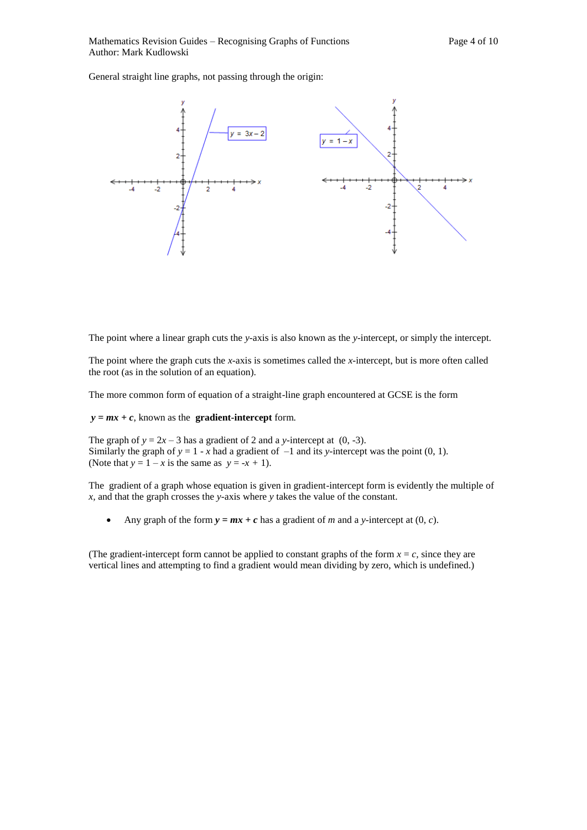General straight line graphs, not passing through the origin:



The point where a linear graph cuts the *y-*axis is also known as the *y-*intercept, or simply the intercept.

The point where the graph cuts the *x-*axis is sometimes called the *x-*intercept, but is more often called the root (as in the solution of an equation).

The more common form of equation of a straight-line graph encountered at GCSE is the form

 $y = mx + c$ , known as the **gradient-intercept** form.

The graph of  $y = 2x - 3$  has a gradient of 2 and a *y*-intercept at (0, -3). Similarly the graph of  $y = 1 - x$  had a gradient of  $-1$  and its *y*-intercept was the point (0, 1). (Note that  $y = 1 - x$  is the same as  $y = -x + 1$ ).

The gradient of a graph whose equation is given in gradient-intercept form is evidently the multiple of *x,* and that the graph crosses the *y-*axis where *y* takes the value of the constant.

Any graph of the form  $y = mx + c$  has a gradient of *m* and a *y*-intercept at  $(0, c)$ .

(The gradient-intercept form cannot be applied to constant graphs of the form  $x = c$ , since they are vertical lines and attempting to find a gradient would mean dividing by zero, which is undefined.)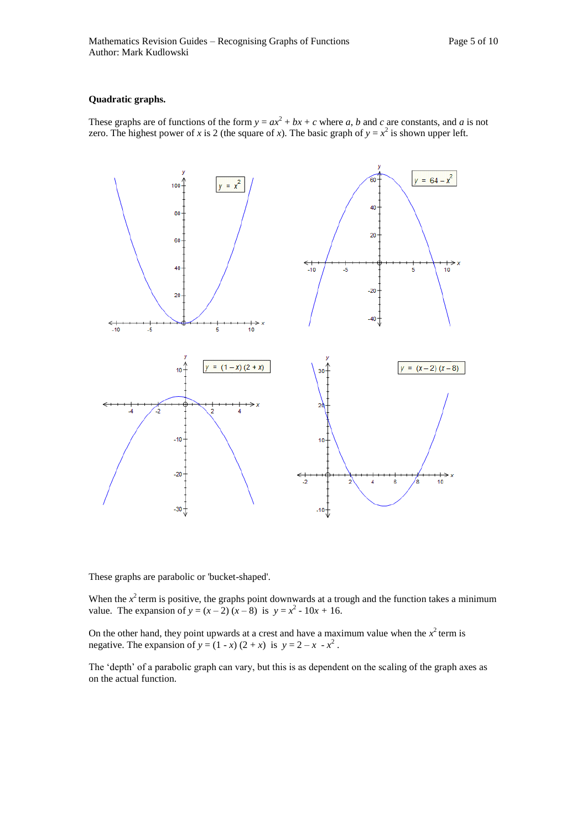#### **Quadratic graphs.**

These graphs are of functions of the form  $y = ax^2 + bx + c$  where *a*, *b* and *c* are constants, and *a* is not zero. The highest power of *x* is 2 (the square of *x*). The basic graph of  $y = x^2$  is shown upper left.



These graphs are parabolic or 'bucket-shaped'.

When the  $x^2$  term is positive, the graphs point downwards at a trough and the function takes a minimum value. The expansion of  $y = (x - 2)(x - 8)$  is  $y = x^2 - 10x + 16$ .

On the other hand, they point upwards at a crest and have a maximum value when the  $x^2$  term is negative. The expansion of  $y = (1 - x)(2 + x)$  is  $y = 2 - x - x^2$ .

The 'depth' of a parabolic graph can vary, but this is as dependent on the scaling of the graph axes as on the actual function.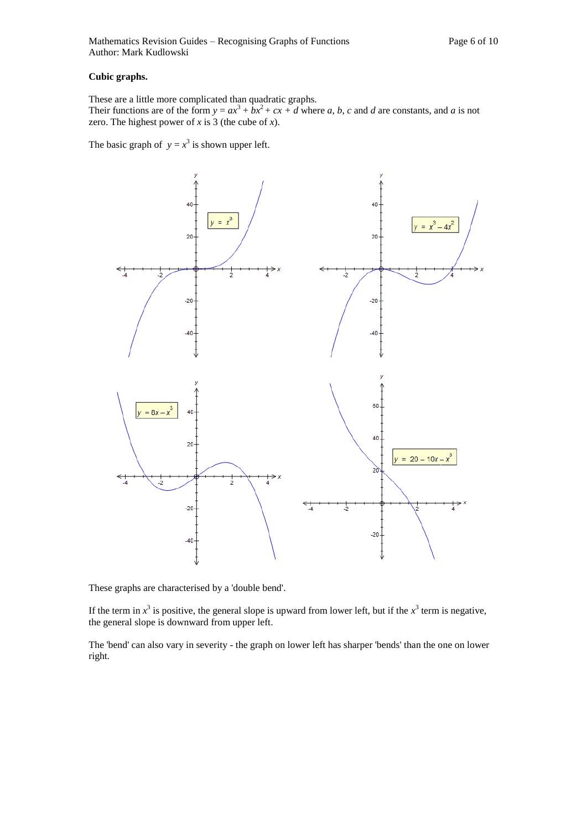#### **Cubic graphs.**

These are a little more complicated than quadratic graphs. Their functions are of the form  $y = ax^3 + bx^2 + cx + d$  where *a*, *b*, *c* and *d* are constants, and *a* is not zero. The highest power of  $x$  is 3 (the cube of  $x$ ).

The basic graph of  $y = x^3$  is shown upper left.



These graphs are characterised by a 'double bend'.

If the term in  $x^3$  is positive, the general slope is upward from lower left, but if the  $x^3$  term is negative, the general slope is downward from upper left.

The 'bend' can also vary in severity - the graph on lower left has sharper 'bends' than the one on lower right.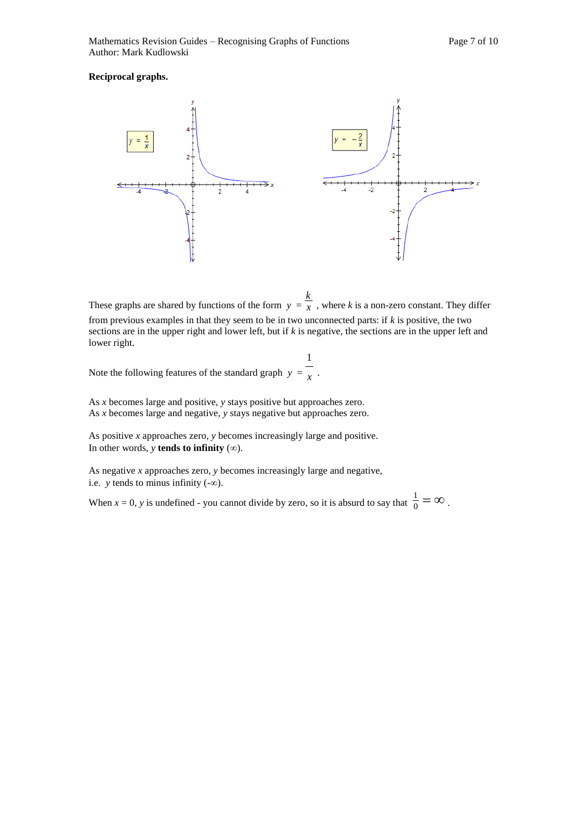#### **Reciprocal graphs.**



These graphs are shared by functions of the form  $y = \overline{x}$ *k* , where *k* is a non-zero constant. They differ

from previous examples in that they seem to be in two unconnected parts: if *k* is positive, the two sections are in the upper right and lower left, but if *k* is negative, the sections are in the upper left and lower right.

.

Note the following features of the standard graph  $y = x$ 1

As *x* becomes large and positive, *y* stays positive but approaches zero. As *x* becomes large and negative, *y* stays negative but approaches zero.

As positive *x* approaches zero, *y* becomes increasingly large and positive. In other words,  $y$  **tends to infinity**  $(\infty)$ .

As negative *x* approaches zero, *y* becomes increasingly large and negative, i.e.  $y$  tends to minus infinity  $(-\infty)$ .

When  $x = 0$ , y is undefined - you cannot divide by zero, so it is absurd to say that  $\frac{1}{0} = \infty$ .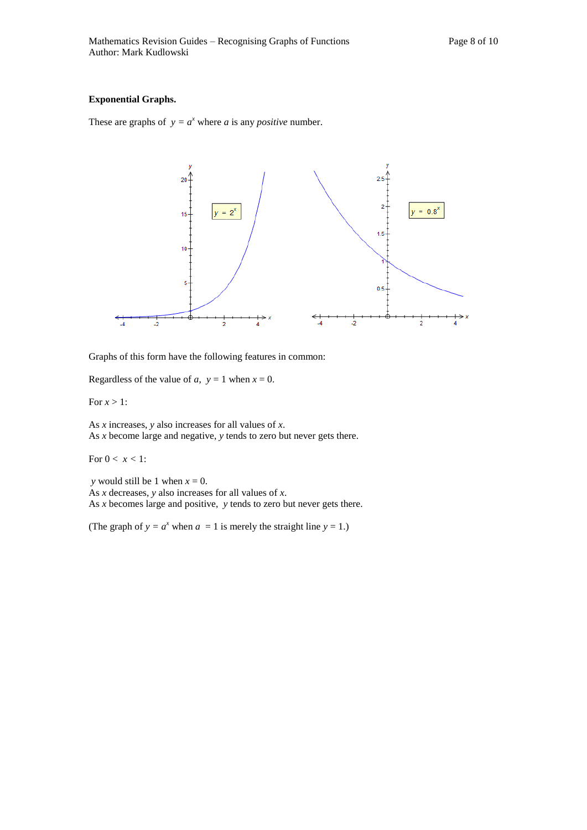#### **Exponential Graphs.**

These are graphs of  $y = a^x$  where *a* is any *positive* number.



Graphs of this form have the following features in common:

Regardless of the value of *a*,  $y = 1$  when  $x = 0$ .

For  $x > 1$ :

As *x* increases, *y* also increases for all values of *x*. As *x* become large and negative, *y* tends to zero but never gets there.

For  $0 < x < 1$ :

*y* would still be 1 when  $x = 0$ .

As *x* decreases, *y* also increases for all values of *x*.

As *x* becomes large and positive, *y* tends to zero but never gets there.

(The graph of  $y = a^x$  when  $a = 1$  is merely the straight line  $y = 1$ .)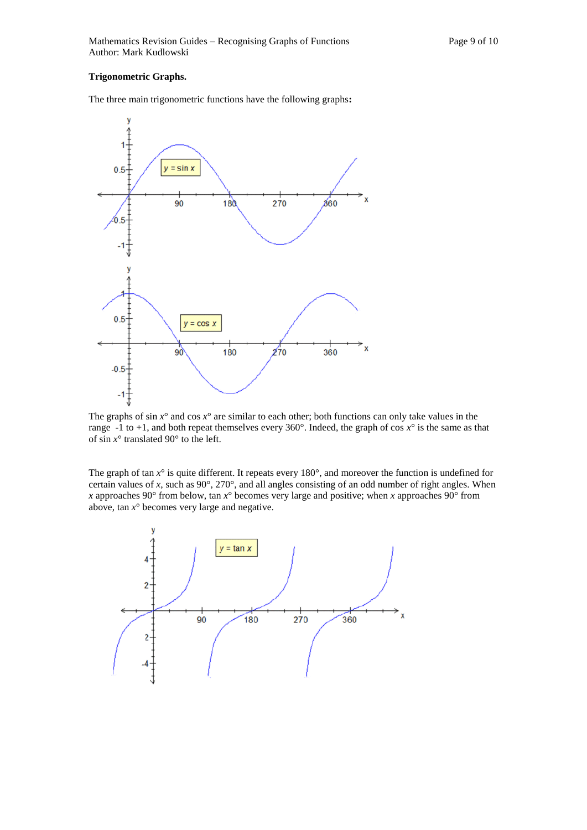#### **Trigonometric Graphs.**

The three main trigonometric functions have the following graphs**:** 



The graphs of  $\sin x^\circ$  and  $\cos x^\circ$  are similar to each other; both functions can only take values in the range  $-1$  to  $+1$ , and both repeat themselves every 360°. Indeed, the graph of cos  $x^{\circ}$  is the same as that of sin  $x^{\circ}$  translated 90° to the left.

The graph of tan *x*° is quite different. It repeats every 180°, and moreover the function is undefined for certain values of *x*, such as 90°, 270°, and all angles consisting of an odd number of right angles. When *x* approaches 90 $^{\circ}$  from below, tan  $x^{\circ}$  becomes very large and positive; when *x* approaches 90 $^{\circ}$  from above, tan  $x^{\circ}$  becomes very large and negative.